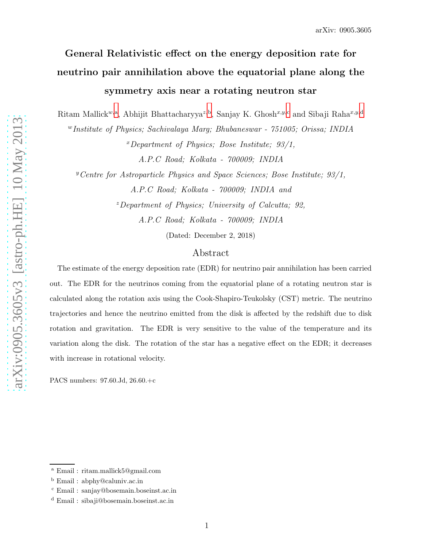# General Relativistic effect on the energy deposition rate for neutrino pair annihilation above the equatorial plane along the symmetry axis near a rotating neutron star

Rit[a](#page-0-0)m Mallick<sup>w,a</sup>, A[b](#page-0-1)hijit Bhatta[c](#page-0-2)haryya<sup>z,b</sup>, Sanjay K. Ghosh<sup>x,y,c</sup> an[d](#page-0-3) Sibaji Raha<sup>x,y,d</sup>

<sup>w</sup>Institute of Physics; Sachivalaya Marg; Bhubaneswar - 751005; Orissa; INDIA

 $x$ Department of Physics; Bose Institute; 93/1,

A.P.C Road; Kolkata - 700009; INDIA

<sup>y</sup>Centre for Astroparticle Physics and Space Sciences; Bose Institute;  $93/1$ ,

A.P.C Road; Kolkata - 700009; INDIA and

 $z$  Department of Physics; University of Calcutta; 92,

A.P.C Road; Kolkata - 700009; INDIA

(Dated: December 2, 2018)

## Abstract

The estimate of the energy deposition rate (EDR) for neutrino pair annihilation has been carried out. The EDR for the neutrinos coming from the equatorial plane of a rotating neutron star is calculated along the rotation axis using the Cook-Shapiro-Teukolsky (CST) metric. The neutrino trajectories and hence the neutrino emitted from the disk is affected by the redshift due to disk rotation and gravitation. The EDR is very sensitive to the value of the temperature and its variation along the disk. The rotation of the star has a negative effect on the EDR; it decreases with increase in rotational velocity.

PACS numbers: 97.60.Jd, 26.60.+c

<sup>a</sup> Email : ritam.mallick5@gmail.com

<span id="page-0-0"></span><sup>b</sup> Email : abphy@caluniv.ac.in

<span id="page-0-1"></span><sup>c</sup> Email : sanjay@bosemain.boseinst.ac.in

<span id="page-0-3"></span><span id="page-0-2"></span><sup>d</sup> Email : sibaji@bosemain.boseinst.ac.in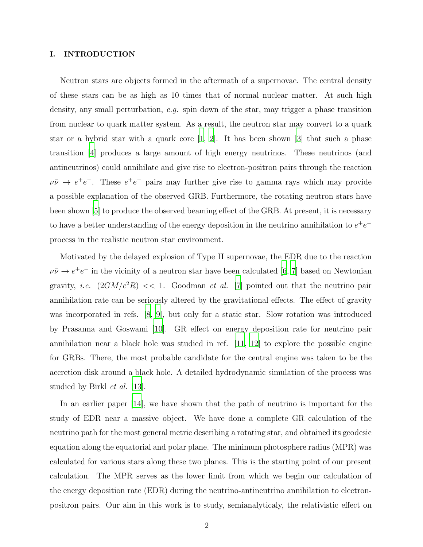#### I. INTRODUCTION

Neutron stars are objects formed in the aftermath of a supernovae. The central density of these stars can be as high as 10 times that of normal nuclear matter. At such high density, any small perturbation, e.g. spin down of the star, may trigger a phase transition from nuclear to quark matter system. As a result, the neutron star may convert to a quark star or a hybrid star with a quark core  $[1, 2]$  $[1, 2]$  $[1, 2]$ . It has been shown  $[3]$  that such a phase transition [\[4](#page-12-3)] produces a large amount of high energy neutrinos. These neutrinos (and antineutrinos) could annihilate and give rise to electron-positron pairs through the reaction  $\nu\bar{\nu} \rightarrow e^+e^-$ . These  $e^+e^-$  pairs may further give rise to gamma rays which may provide a possible explanation of the observed GRB. Furthermore, the rotating neutron stars have been shown [\[5](#page-13-0)] to produce the observed beaming effect of the GRB. At present, it is necessary to have a better understanding of the energy deposition in the neutrino annihilation to  $e^+e^$ process in the realistic neutron star environment.

Motivated by the delayed explosion of Type II supernovae, the EDR due to the reaction  $\nu\bar{\nu} \rightarrow e^+e^-$  in the vicinity of a neutron star have been calculated [\[6](#page-13-1), [7\]](#page-13-2) based on Newtonian gravity, *i.e.*  $(2GM/c^2R) \ll 1$ . Goodman *et al.* [\[7](#page-13-2)] pointed out that the neutrino pair annihilation rate can be seriously altered by the gravitational effects. The effect of gravity was incorporated in refs. [\[8,](#page-13-3) [9\]](#page-13-4), but only for a static star. Slow rotation was introduced by Prasanna and Goswami [\[10](#page-13-5)]. GR effect on energy deposition rate for neutrino pair annihilation near a black hole was studied in ref.  $|11, 12|$  $|11, 12|$  $|11, 12|$  to explore the possible engine for GRBs. There, the most probable candidate for the central engine was taken to be the accretion disk around a black hole. A detailed hydrodynamic simulation of the process was studied by Birkl et al. [\[13\]](#page-13-8).

In an earlier paper [\[14](#page-13-9)], we have shown that the path of neutrino is important for the study of EDR near a massive object. We have done a complete GR calculation of the neutrino path for the most general metric describing a rotating star, and obtained its geodesic equation along the equatorial and polar plane. The minimum photosphere radius (MPR) was calculated for various stars along these two planes. This is the starting point of our present calculation. The MPR serves as the lower limit from which we begin our calculation of the energy deposition rate (EDR) during the neutrino-antineutrino annihilation to electronpositron pairs. Our aim in this work is to study, semianalyticaly, the relativistic effect on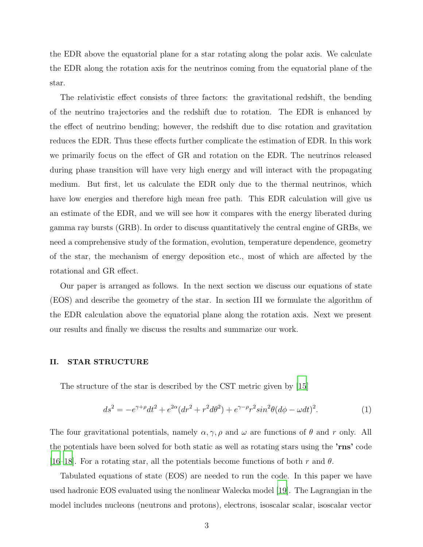the EDR above the equatorial plane for a star rotating along the polar axis. We calculate the EDR along the rotation axis for the neutrinos coming from the equatorial plane of the star.

The relativistic effect consists of three factors: the gravitational redshift, the bending of the neutrino trajectories and the redshift due to rotation. The EDR is enhanced by the effect of neutrino bending; however, the redshift due to disc rotation and gravitation reduces the EDR. Thus these effects further complicate the estimation of EDR. In this work we primarily focus on the effect of GR and rotation on the EDR. The neutrinos released during phase transition will have very high energy and will interact with the propagating medium. But first, let us calculate the EDR only due to the thermal neutrinos, which have low energies and therefore high mean free path. This EDR calculation will give us an estimate of the EDR, and we will see how it compares with the energy liberated during gamma ray bursts (GRB). In order to discuss quantitatively the central engine of GRBs, we need a comprehensive study of the formation, evolution, temperature dependence, geometry of the star, the mechanism of energy deposition etc., most of which are affected by the rotational and GR effect.

Our paper is arranged as follows. In the next section we discuss our equations of state (EOS) and describe the geometry of the star. In section III we formulate the algorithm of the EDR calculation above the equatorial plane along the rotation axis. Next we present our results and finally we discuss the results and summarize our work.

### II. STAR STRUCTURE

The structure of the star is described by the CST metric given by [\[15\]](#page-13-10)

$$
ds^{2} = -e^{\gamma + \rho}dt^{2} + e^{2\alpha}(dr^{2} + r^{2}d\theta^{2}) + e^{\gamma - \rho}r^{2}\sin^{2}\theta(d\phi - \omega dt)^{2}.
$$
 (1)

The four gravitational potentials, namely  $\alpha, \gamma, \rho$  and  $\omega$  are functions of  $\theta$  and r only. All the potentials have been solved for both static as well as rotating stars using the 'rns' code [\[16](#page-13-11)[–18\]](#page-13-12). For a rotating star, all the potentials become functions of both r and  $\theta$ .

Tabulated equations of state (EOS) are needed to run the code. In this paper we have used hadronic EOS evaluated using the nonlinear Walecka model [\[19\]](#page-13-13). The Lagrangian in the model includes nucleons (neutrons and protons), electrons, isoscalar scalar, isoscalar vector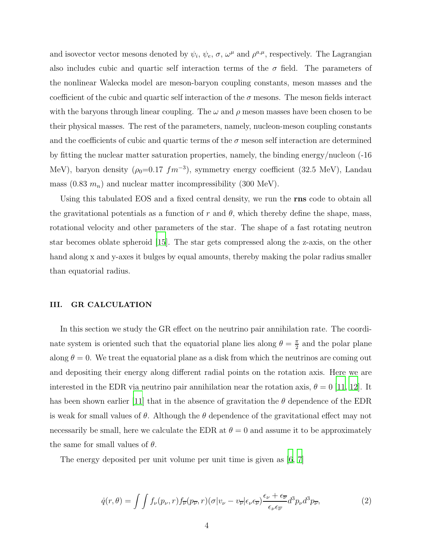and isovector vector mesons denoted by  $\psi_i$ ,  $\psi_e$ ,  $\sigma$ ,  $\omega^{\mu}$  and  $\rho^{a,\mu}$ , respectively. The Lagrangian also includes cubic and quartic self interaction terms of the  $\sigma$  field. The parameters of the nonlinear Walecka model are meson-baryon coupling constants, meson masses and the coefficient of the cubic and quartic self interaction of the  $\sigma$  mesons. The meson fields interact with the baryons through linear coupling. The  $\omega$  and  $\rho$  meson masses have been chosen to be their physical masses. The rest of the parameters, namely, nucleon-meson coupling constants and the coefficients of cubic and quartic terms of the  $\sigma$  meson self interaction are determined by fitting the nuclear matter saturation properties, namely, the binding energy/nucleon (-16 MeV), baryon density  $(\rho_0=0.17 \text{ fm}^{-3})$ , symmetry energy coefficient (32.5 MeV), Landau mass  $(0.83 \, m_n)$  and nuclear matter incompressibility  $(300 \text{ MeV})$ .

Using this tabulated EOS and a fixed central density, we run the **rns** code to obtain all the gravitational potentials as a function of r and  $\theta$ , which thereby define the shape, mass, rotational velocity and other parameters of the star. The shape of a fast rotating neutron star becomes oblate spheroid [\[15\]](#page-13-10). The star gets compressed along the z-axis, on the other hand along x and y-axes it bulges by equal amounts, thereby making the polar radius smaller than equatorial radius.

#### III. GR CALCULATION

In this section we study the GR effect on the neutrino pair annihilation rate. The coordinate system is oriented such that the equatorial plane lies along  $\theta = \frac{\pi}{2}$  $\frac{\pi}{2}$  and the polar plane along  $\theta = 0$ . We treat the equatorial plane as a disk from which the neutrinos are coming out and depositing their energy along different radial points on the rotation axis. Here we are interested in the EDR via neutrino pair annihilation near the rotation axis,  $\theta = 0$  [\[11,](#page-13-6) [12](#page-13-7)]. It has been shown earlier [\[11](#page-13-6)] that in the absence of gravitation the  $\theta$  dependence of the EDR is weak for small values of  $\theta$ . Although the  $\theta$  dependence of the gravitational effect may not necessarily be small, here we calculate the EDR at  $\theta = 0$  and assume it to be approximately the same for small values of  $\theta$ .

The energy deposited per unit volume per unit time is given as [\[6,](#page-13-1) [7](#page-13-2)]

$$
\dot{q}(r,\theta) = \int \int f_{\nu}(p_{\nu},r) f_{\overline{\nu}}(p_{\overline{\nu}},r) (\sigma |v_{\nu} - v_{\overline{\nu}}| \epsilon_{\nu} \epsilon_{\overline{\nu}}) \frac{\epsilon_{\nu} + \epsilon_{\overline{\nu}}}{\epsilon_{\nu} \epsilon_{\overline{\nu}}} d^3 p_{\nu} d^3 p_{\overline{\nu}},\tag{2}
$$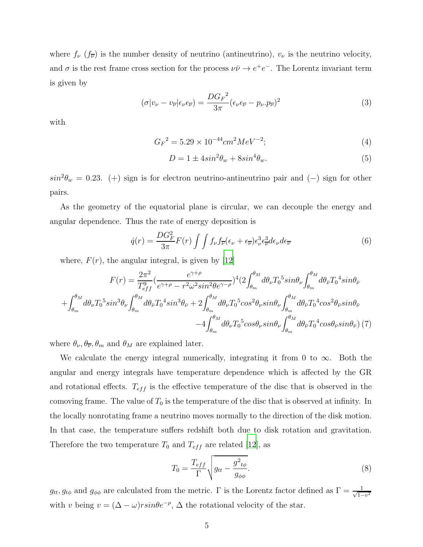where  $f_{\nu}$  ( $f_{\overline{\nu}}$ ) is the number density of neutrino (antineutrino),  $v_{\nu}$  is the neutrino velocity, and  $\sigma$  is the rest frame cross section for the process  $\nu\bar{\nu} \to e^+e^-$ . The Lorentz invariant term is given by

$$
(\sigma |v_{\nu} - v_{\overline{\nu}}| \epsilon_{\nu} \epsilon_{\overline{\nu}}) = \frac{D G_F^2}{3\pi} (\epsilon_{\nu} \epsilon_{\overline{\nu}} - p_{\nu} p_{\overline{\nu}})^2
$$
(3)

with

$$
G_F{}^2 = 5.29 \times 10^{-44} cm^2 MeV^{-2};\tag{4}
$$

$$
D = 1 \pm 4\sin^2\theta_w + 8\sin^4\theta_w. \tag{5}
$$

 $sin^2\theta_w = 0.23$ . (+) sign is for electron neutrino-antineutrino pair and (-) sign for other pairs.

As the geometry of the equatorial plane is circular, we can decouple the energy and angular dependence. Thus the rate of energy deposition is

<span id="page-4-0"></span>
$$
\dot{q}(r) = \frac{DG_F^2}{3\pi}F(r)\int\int f_{\nu}f_{\overline{\nu}}(\epsilon_{\nu} + \epsilon_{\overline{\nu}})\epsilon_{\nu}^3\epsilon_{\overline{\nu}}^3d\epsilon_{\nu}d\epsilon_{\overline{\nu}}\tag{6}
$$

where,  $F(r)$ , the angular integral, is given by [\[12\]](#page-13-7)

$$
F(r) = \frac{2\pi^2}{T_{eff}^9} \left(\frac{e^{\gamma+\rho}}{e^{\gamma+\rho}-r^2\omega^2 sin^2\theta e^{\gamma-\rho}}\right)^4 \left(2\int_{\theta_m}^{\theta_M} d\theta_{\nu} T_0^5 sin\theta_{\nu}\int_{\theta_m}^{\theta_M} d\theta_{\bar{\nu}} T_0^4 sin\theta_{\bar{\nu}}\right)
$$

$$
+\int_{\theta_m}^{\theta_M} d\theta_{\nu} T_0^5 sin^3\theta_{\nu}\int_{\theta_m}^{\theta_M} d\theta_{\bar{\nu}} T_0^4 sin^3\theta_{\bar{\nu}} + 2\int_{\theta_m}^{\theta_M} d\theta_{\nu} T_0^5 cos^2\theta_{\nu} sin\theta_{\nu}\int_{\theta_m}^{\theta_M} d\theta_{\bar{\nu}} T_0^4 cos^2\theta_{\bar{\nu}} sin\theta_{\bar{\nu}}
$$

$$
-4\int_{\theta_m}^{\theta_M} d\theta_{\nu} T_0^5 cos\theta_{\nu} sin\theta_{\nu}\int_{\theta_m}^{\theta_M} d\theta_{\bar{\nu}} T_0^4 cos\theta_{\bar{\nu}} sin\theta_{\bar{\nu}}\right) (7)
$$

where  $\theta_{\nu}, \theta_{\overline{\nu}}, \theta_{m}$  and  $\theta_{M}$  are explained later.

We calculate the energy integral numerically, integrating it from 0 to  $\infty$ . Both the angular and energy integrals have temperature dependence which is affected by the GR and rotational effects.  $T_{eff}$  is the effective temperature of the disc that is observed in the comoving frame. The value of  $T_0$  is the temperature of the disc that is observed at infinity. In the locally nonrotating frame a neutrino moves normally to the direction of the disk motion. In that case, the temperature suffers redshift both due to disk rotation and gravitation. Therefore the two temperature  $T_0$  and  $T_{eff}$  are related [\[12\]](#page-13-7), as

$$
T_0 = \frac{T_{eff}}{\Gamma} \sqrt{g_{tt} - \frac{g^2_{t\phi}}{g_{\phi\phi}}}.
$$
 (8)

 $g_{tt}, g_{t\phi}$  and  $g_{\phi\phi}$  are calculated from the metric.  $\Gamma$  is the Lorentz factor defined as  $\Gamma = \frac{1}{\sqrt{1-\phi^2}}$  $1-v^2$ with v being  $v = (\Delta - \omega) r \sin \theta e^{-\rho}$ ,  $\Delta$  the rotational velocity of the star.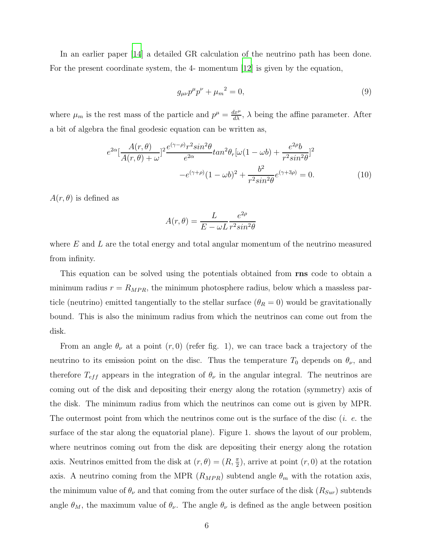In an earlier paper [\[14](#page-13-9)] a detailed GR calculation of the neutrino path has been done. For the present coordinate system, the 4- momentum [\[12\]](#page-13-7) is given by the equation,

$$
g_{\mu\nu}p^{\mu}p^{\nu} + \mu_m^2 = 0, \tag{9}
$$

where  $\mu_m$  is the rest mass of the particle and  $p^{\mu} = \frac{dx^{\mu}}{d\lambda}$ ,  $\lambda$  being the affine parameter. After a bit of algebra the final geodesic equation can be written as,

$$
e^{2\alpha} \left[ \frac{A(r,\theta)}{A(r,\theta) + \omega} \right]^2 \frac{e^{(\gamma - \rho)} r^2 \sin^2 \theta}{e^{2\alpha}} \tan^2 \theta_r [\omega (1 - \omega b) + \frac{e^{2\rho} b}{r^2 \sin^2 \theta}]^2
$$

$$
-e^{(\gamma + \rho)} (1 - \omega b)^2 + \frac{b^2}{r^2 \sin^2 \theta} e^{(\gamma + 3\rho)} = 0. \tag{10}
$$

 $A(r, \theta)$  is defined as

$$
A(r,\theta) = \frac{L}{E - \omega L} \frac{e^{2\rho}}{r^2 \sin^2 \theta}
$$

where  $E$  and  $L$  are the total energy and total angular momentum of the neutrino measured from infinity.

This equation can be solved using the potentials obtained from **rns** code to obtain a minimum radius  $r = R_{MPR}$ , the minimum photosphere radius, below which a massless particle (neutrino) emitted tangentially to the stellar surface  $(\theta_R = 0)$  would be gravitationally bound. This is also the minimum radius from which the neutrinos can come out from the disk.

From an angle  $\theta_{\nu}$  at a point  $(r, 0)$  (refer fig. 1), we can trace back a trajectory of the neutrino to its emission point on the disc. Thus the temperature  $T_0$  depends on  $\theta_{\nu}$ , and therefore  $T_{eff}$  appears in the integration of  $\theta_{\nu}$  in the angular integral. The neutrinos are coming out of the disk and depositing their energy along the rotation (symmetry) axis of the disk. The minimum radius from which the neutrinos can come out is given by MPR. The outermost point from which the neutrinos come out is the surface of the disc (i. e. the surface of the star along the equatorial plane). Figure 1. shows the layout of our problem, where neutrinos coming out from the disk are depositing their energy along the rotation axis. Neutrinos emitted from the disk at  $(r, \theta) = (R, \frac{\pi}{2})$ , arrive at point  $(r, 0)$  at the rotation axis. A neutrino coming from the MPR  $(R_{MPR})$  subtend angle  $\theta_m$  with the rotation axis, the minimum value of  $\theta_{\nu}$  and that coming from the outer surface of the disk  $(R_{Sur})$  subtends angle  $\theta_M$ , the maximum value of  $\theta_{\nu}$ . The angle  $\theta_{\nu}$  is defined as the angle between position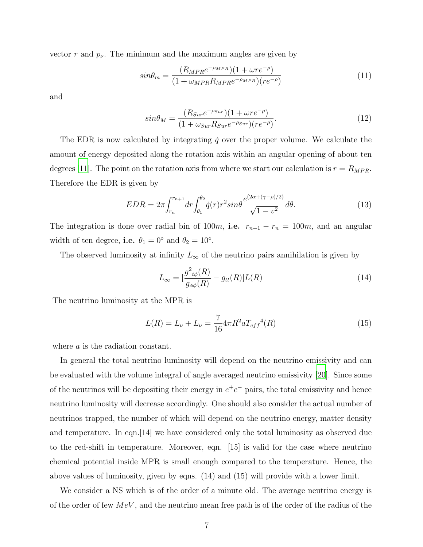vector r and  $p_{\nu}$ . The minimum and the maximum angles are given by

$$
sin\theta_m = \frac{(R_{MPR}e^{-\rho_{MPR}})(1+\omega r e^{-\rho})}{(1+\omega_{MPR}R_{MPR}e^{-\rho_{MPR}})(r e^{-\rho})}
$$
(11)

and

$$
sin\theta_M = \frac{(R_{Sur}e^{-\rho_{Sur}})(1+\omega r e^{-\rho})}{(1+\omega_{Sur}R_{Sur}e^{-\rho_{Sur}})(r e^{-\rho})}.
$$
\n(12)

The EDR is now calculated by integrating  $\dot{q}$  over the proper volume. We calculate the amount of energy deposited along the rotation axis within an angular opening of about ten degrees [\[11\]](#page-13-6). The point on the rotation axis from where we start our calculation is  $r = R_{MPR}$ . Therefore the EDR is given by

$$
EDR = 2\pi \int_{r_n}^{r_{n+1}} dr \int_{\theta_1}^{\theta_2} \dot{q}(r) r^2 \sin\theta \frac{e^{(2\alpha + (\gamma - \rho)/2)}}{\sqrt{1 - v^2}} d\theta. \tag{13}
$$

The integration is done over radial bin of 100m, i.e.  $r_{n+1} - r_n = 100m$ , and an angular width of ten degree, **i.e.**  $\theta_1 = 0^\circ$  and  $\theta_2 = 10^\circ$ .

The observed luminosity at infinity  $L_{\infty}$  of the neutrino pairs annihilation is given by

$$
L_{\infty} = \left[\frac{g^2_{t\phi}(R)}{g_{\phi\phi}(R)} - g_{tt}(R)\right]L(R)
$$
\n(14)

The neutrino luminosity at the MPR is

$$
L(R) = L_{\nu} + L_{\bar{\nu}} = \frac{7}{16} 4\pi R^2 a T_{eff}{}^4(R)
$$
\n(15)

where a is the radiation constant.

In general the total neutrino luminosity will depend on the neutrino emissivity and can be evaluated with the volume integral of angle averaged neutrino emissivity [\[20](#page-13-14)]. Since some of the neutrinos will be depositing their energy in  $e^+e^-$  pairs, the total emissivity and hence neutrino luminosity will decrease accordingly. One should also consider the actual number of neutrinos trapped, the number of which will depend on the neutrino energy, matter density and temperature. In eqn.[14] we have considered only the total luminosity as observed due to the red-shift in temperature. Moreover, eqn. [15] is valid for the case where neutrino chemical potential inside MPR is small enough compared to the temperature. Hence, the above values of luminosity, given by eqns. (14) and (15) will provide with a lower limit.

We consider a NS which is of the order of a minute old. The average neutrino energy is of the order of few  $MeV$ , and the neutrino mean free path is of the order of the radius of the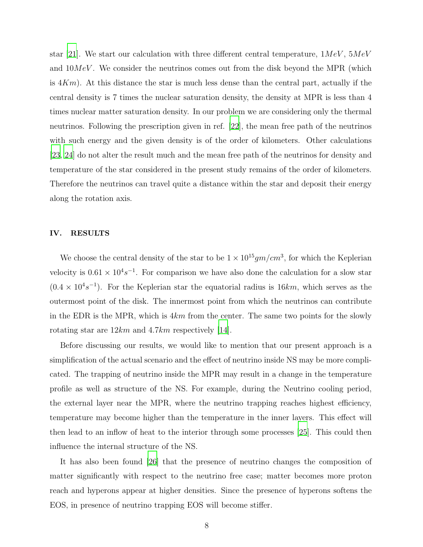star [\[21\]](#page-13-15). We start our calculation with three different central temperature,  $1MeV$ ,  $5MeV$ and  $10MeV$ . We consider the neutrinos comes out from the disk beyond the MPR (which is  $4Km$ ). At this distance the star is much less dense than the central part, actually if the central density is 7 times the nuclear saturation density, the density at MPR is less than 4 times nuclear matter saturation density. In our problem we are considering only the thermal neutrinos. Following the prescription given in ref. [\[22\]](#page-13-16), the mean free path of the neutrinos with such energy and the given density is of the order of kilometers. Other calculations [\[23](#page-13-17), [24](#page-13-18)] do not alter the result much and the mean free path of the neutrinos for density and temperature of the star considered in the present study remains of the order of kilometers. Therefore the neutrinos can travel quite a distance within the star and deposit their energy along the rotation axis.

#### IV. RESULTS

We choose the central density of the star to be  $1 \times 10^{15}$  gm/cm<sup>3</sup>, for which the Keplerian velocity is  $0.61 \times 10^4 s^{-1}$ . For comparison we have also done the calculation for a slow star  $(0.4 \times 10^{4} s^{-1})$ . For the Keplerian star the equatorial radius is 16km, which serves as the outermost point of the disk. The innermost point from which the neutrinos can contribute in the EDR is the MPR, which is  $4km$  from the center. The same two points for the slowly rotating star are  $12km$  and  $4.7km$  respectively [\[14](#page-13-9)].

Before discussing our results, we would like to mention that our present approach is a simplification of the actual scenario and the effect of neutrino inside NS may be more complicated. The trapping of neutrino inside the MPR may result in a change in the temperature profile as well as structure of the NS. For example, during the Neutrino cooling period, the external layer near the MPR, where the neutrino trapping reaches highest efficiency, temperature may become higher than the temperature in the inner layers. This effect will then lead to an inflow of heat to the interior through some processes [\[25\]](#page-13-19). This could then influence the internal structure of the NS.

It has also been found [\[26\]](#page-13-20) that the presence of neutrino changes the composition of matter significantly with respect to the neutrino free case; matter becomes more proton reach and hyperons appear at higher densities. Since the presence of hyperons softens the EOS, in presence of neutrino trapping EOS will become stiffer.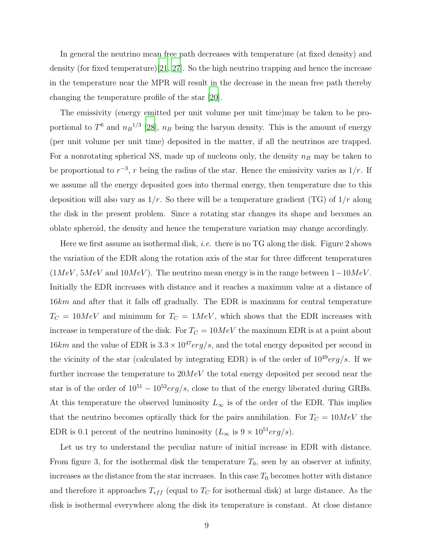In general the neutrino mean free path decreases with temperature (at fixed density) and density (for fixed temperature)[\[21,](#page-13-15) [27\]](#page-13-21). So the high neutrino trapping and hence the increase in the temperature near the MPR will result in the decrease in the mean free path thereby changing the temperature profile of the star [\[20\]](#page-13-14).

The emissivity (energy emitted per unit volume per unit time)may be taken to be proportional to  $T^6$  and  $n_B^{-1/3}$  [\[28](#page-13-22)],  $n_B$  being the baryon density. This is the amount of energy (per unit volume per unit time) deposited in the matter, if all the neutrinos are trapped. For a nonrotating spherical NS, made up of nucleons only, the density  $n_B$  may be taken to be proportional to  $r^{-3}$ , r being the radius of the star. Hence the emissivity varies as  $1/r$ . If we assume all the energy deposited goes into thermal energy, then temperature due to this deposition will also vary as  $1/r$ . So there will be a temperature gradient (TG) of  $1/r$  along the disk in the present problem. Since a rotating star changes its shape and becomes an oblate spheroid, the density and hence the temperature variation may change accordingly.

Here we first assume an isothermal disk, *i.e.* there is no TG along the disk. Figure 2 shows the variation of the EDR along the rotation axis of the star for three different temperatures  $(1MeV, 5MeV, and 10MeV)$ . The neutrino mean energy is in the range between  $1-10MeV$ . Initially the EDR increases with distance and it reaches a maximum value at a distance of 16km and after that it falls off gradually. The EDR is maximum for central temperature  $T_C = 10MeV$  and minimum for  $T_C = 1MeV$ , which shows that the EDR increases with increase in temperature of the disk. For  $T<sub>C</sub> = 10MeV$  the maximum EDR is at a point about 16km and the value of EDR is  $3.3 \times 10^{47} erg/s$ , and the total energy deposited per second in the vicinity of the star (calculated by integrating EDR) is of the order of  $10^{49} erg/s$ . If we further increase the temperature to  $20MeV$  the total energy deposited per second near the star is of the order of  $10^{51} - 10^{52} erg/s$ , close to that of the energy liberated during GRBs. At this temperature the observed luminosity  $L_{\infty}$  is of the order of the EDR. This implies that the neutrino becomes optically thick for the pairs annihilation. For  $T_C = 10MeV$  the EDR is 0.1 percent of the neutrino luminosity  $(L_{\infty} \text{ is } 9 \times 10^{51} \text{erg/s}).$ 

Let us try to understand the peculiar nature of initial increase in EDR with distance. From figure 3, for the isothermal disk the temperature  $T_0$ , seen by an observer at infinity, increases as the distance from the star increases. In this case  $T_0$  becomes hotter with distance and therefore it approaches  $T_{eff}$  (equal to  $T_C$  for isothermal disk) at large distance. As the disk is isothermal everywhere along the disk its temperature is constant. At close distance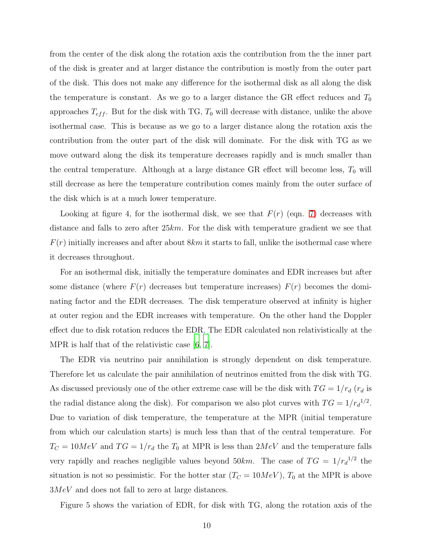from the center of the disk along the rotation axis the contribution from the the inner part of the disk is greater and at larger distance the contribution is mostly from the outer part of the disk. This does not make any difference for the isothermal disk as all along the disk the temperature is constant. As we go to a larger distance the GR effect reduces and  $T_0$ approaches  $T_{eff}$ . But for the disk with TG,  $T_0$  will decrease with distance, unlike the above isothermal case. This is because as we go to a larger distance along the rotation axis the contribution from the outer part of the disk will dominate. For the disk with TG as we move outward along the disk its temperature decreases rapidly and is much smaller than the central temperature. Although at a large distance GR effect will become less,  $T_0$  will still decrease as here the temperature contribution comes mainly from the outer surface of the disk which is at a much lower temperature.

Looking at figure 4, for the isothermal disk, we see that  $F(r)$  (eqn. [7\)](#page-4-0) decreases with distance and falls to zero after  $25km$ . For the disk with temperature gradient we see that  $F(r)$  initially increases and after about  $8km$  it starts to fall, unlike the isothermal case where it decreases throughout.

For an isothermal disk, initially the temperature dominates and EDR increases but after some distance (where  $F(r)$  decreases but temperature increases)  $F(r)$  becomes the dominating factor and the EDR decreases. The disk temperature observed at infinity is higher at outer region and the EDR increases with temperature. On the other hand the Doppler effect due to disk rotation reduces the EDR. The EDR calculated non relativistically at the MPR is half that of the relativistic case  $[6, 7]$  $[6, 7]$  $[6, 7]$ .

The EDR via neutrino pair annihilation is strongly dependent on disk temperature. Therefore let us calculate the pair annihilation of neutrinos emitted from the disk with TG. As discussed previously one of the other extreme case will be the disk with  $TG = 1/r_d$  ( $r_d$  is the radial distance along the disk). For comparison we also plot curves with  $TG = 1/r_d^{1/2}$ . Due to variation of disk temperature, the temperature at the MPR (initial temperature from which our calculation starts) is much less than that of the central temperature. For  $T_C = 10MeV$  and  $TG = 1/r_d$  the  $T_0$  at MPR is less than  $2MeV$  and the temperature falls very rapidly and reaches negligible values beyond  $50km$ . The case of  $TG = 1/r_d^{1/2}$  the situation is not so pessimistic. For the hotter star  $(T<sub>C</sub> = 10MeV)$ ,  $T<sub>0</sub>$  at the MPR is above 3MeV and does not fall to zero at large distances.

Figure 5 shows the variation of EDR, for disk with TG, along the rotation axis of the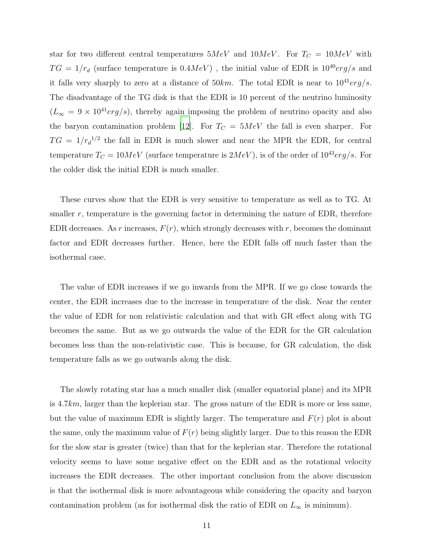star for two different central temperatures  $5MeV$  and  $10MeV$ . For  $T_C = 10MeV$  with  $TG = 1/r_d$  (surface temperature is  $0.4MeV$ ), the initial value of EDR is  $10^{40} erg/s$  and it falls very sharply to zero at a distance of  $50km$ . The total EDR is near to  $10^{41} erg/s$ . The disadvantage of the TG disk is that the EDR is 10 percent of the neutrino luminosity  $(L_{\infty} = 9 \times 10^{41} erg/s)$ , thereby again imposing the problem of neutrino opacity and also the baryon contamination problem [\[12\]](#page-13-7). For  $T_C = 5MeV$  the fall is even sharper. For  $TG = 1/r_d^{1/2}$  the fall in EDR is much slower and near the MPR the EDR, for central temperature  $T_C = 10MeV$  (surface temperature is  $2MeV$ ), is of the order of  $10^{43} erg/s$ . For the colder disk the initial EDR is much smaller.

These curves show that the EDR is very sensitive to temperature as well as to TG. At smaller  $r$ , temperature is the governing factor in determining the nature of EDR, therefore EDR decreases. As r increases,  $F(r)$ , which strongly decreases with r, becomes the dominant factor and EDR decreases further. Hence, here the EDR falls off much faster than the isothermal case.

The value of EDR increases if we go inwards from the MPR. If we go close towards the center, the EDR increases due to the increase in temperature of the disk. Near the center the value of EDR for non relativistic calculation and that with GR effect along with TG becomes the same. But as we go outwards the value of the EDR for the GR calculation becomes less than the non-relativistic case. This is because, for GR calculation, the disk temperature falls as we go outwards along the disk.

The slowly rotating star has a much smaller disk (smaller equatorial plane) and its MPR is 4.7km, larger than the keplerian star. The gross nature of the EDR is more or less same, but the value of maximum EDR is slightly larger. The temperature and  $F(r)$  plot is about the same, only the maximum value of  $F(r)$  being slightly larger. Due to this reason the EDR for the slow star is greater (twice) than that for the keplerian star. Therefore the rotational velocity seems to have some negative effect on the EDR and as the rotational velocity increases the EDR decreases. The other important conclusion from the above discussion is that the isothermal disk is more advantageous while considering the opacity and baryon contamination problem (as for isothermal disk the ratio of EDR on  $L_{\infty}$  is minimum).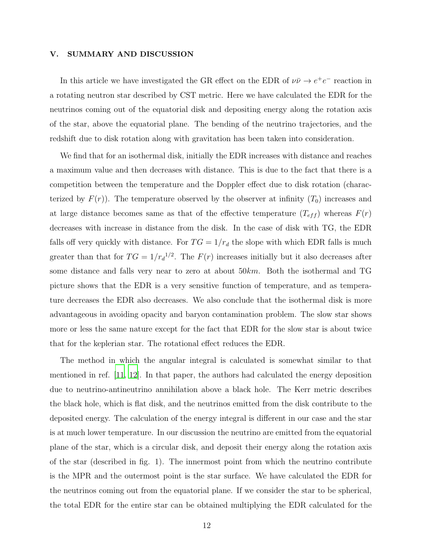#### V. SUMMARY AND DISCUSSION

In this article we have investigated the GR effect on the EDR of  $\nu\bar{\nu} \rightarrow e^+e^-$  reaction in a rotating neutron star described by CST metric. Here we have calculated the EDR for the neutrinos coming out of the equatorial disk and depositing energy along the rotation axis of the star, above the equatorial plane. The bending of the neutrino trajectories, and the redshift due to disk rotation along with gravitation has been taken into consideration.

We find that for an isothermal disk, initially the EDR increases with distance and reaches a maximum value and then decreases with distance. This is due to the fact that there is a competition between the temperature and the Doppler effect due to disk rotation (characterized by  $F(r)$ ). The temperature observed by the observer at infinity  $(T_0)$  increases and at large distance becomes same as that of the effective temperature  $(T_{eff})$  whereas  $F(r)$ decreases with increase in distance from the disk. In the case of disk with TG, the EDR falls off very quickly with distance. For  $TG = 1/r_d$  the slope with which EDR falls is much greater than that for  $TG = 1/r_d^{1/2}$ . The  $F(r)$  increases initially but it also decreases after some distance and falls very near to zero at about 50km. Both the isothermal and TG picture shows that the EDR is a very sensitive function of temperature, and as temperature decreases the EDR also decreases. We also conclude that the isothermal disk is more advantageous in avoiding opacity and baryon contamination problem. The slow star shows more or less the same nature except for the fact that EDR for the slow star is about twice that for the keplerian star. The rotational effect reduces the EDR.

The method in which the angular integral is calculated is somewhat similar to that mentioned in ref. [\[11,](#page-13-6) [12\]](#page-13-7). In that paper, the authors had calculated the energy deposition due to neutrino-antineutrino annihilation above a black hole. The Kerr metric describes the black hole, which is flat disk, and the neutrinos emitted from the disk contribute to the deposited energy. The calculation of the energy integral is different in our case and the star is at much lower temperature. In our discussion the neutrino are emitted from the equatorial plane of the star, which is a circular disk, and deposit their energy along the rotation axis of the star (described in fig. 1). The innermost point from which the neutrino contribute is the MPR and the outermost point is the star surface. We have calculated the EDR for the neutrinos coming out from the equatorial plane. If we consider the star to be spherical, the total EDR for the entire star can be obtained multiplying the EDR calculated for the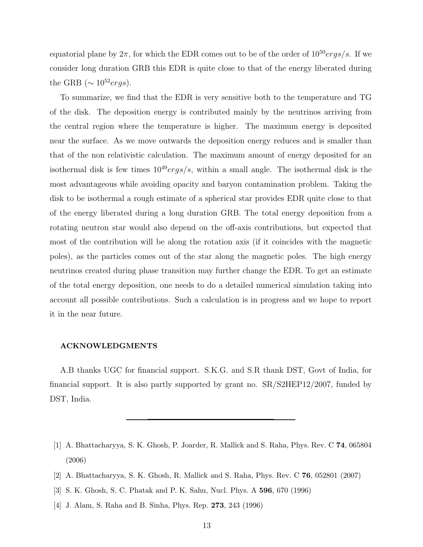equatorial plane by  $2\pi$ , for which the EDR comes out to be of the order of  $10^{50} ergs/s$ . If we consider long duration GRB this EDR is quite close to that of the energy liberated during the GRB ( $\sim 10^{52} ergs$ ).

To summarize, we find that the EDR is very sensitive both to the temperature and TG of the disk. The deposition energy is contributed mainly by the neutrinos arriving from the central region where the temperature is higher. The maximum energy is deposited near the surface. As we move outwards the deposition energy reduces and is smaller than that of the non relativistic calculation. The maximum amount of energy deposited for an isothermal disk is few times  $10^{49} ergs/s$ , within a small angle. The isothermal disk is the most advantageous while avoiding opacity and baryon contamination problem. Taking the disk to be isothermal a rough estimate of a spherical star provides EDR quite close to that of the energy liberated during a long duration GRB. The total energy deposition from a rotating neutron star would also depend on the off-axis contributions, but expected that most of the contribution will be along the rotation axis (if it coincides with the magnetic poles), as the particles comes out of the star along the magnetic poles. The high energy neutrinos created during phase transition may further change the EDR. To get an estimate of the total energy deposition, one needs to do a detailed numerical simulation taking into account all possible contributions. Such a calculation is in progress and we hope to report it in the near future.

#### ACKNOWLEDGMENTS

A.B thanks UGC for financial support. S.K.G. and S.R thank DST, Govt of India, for financial support. It is also partly supported by grant no. SR/S2HEP12/2007, funded by DST, India.

- <span id="page-12-0"></span>[1] A. Bhattacharyya, S. K. Ghosh, P. Joarder, R. Mallick and S. Raha, Phys. Rev. C 74, 065804 (2006)
- <span id="page-12-1"></span>[2] A. Bhattacharyya, S. K. Ghosh, R. Mallick and S. Raha, Phys. Rev. C 76, 052801 (2007)
- <span id="page-12-2"></span>[3] S. K. Ghosh, S. C. Phatak and P. K. Sahu, Nucl. Phys. A 596, 670 (1996)
- <span id="page-12-3"></span>[4] J. Alam, S. Raha and B. Sinha, Phys. Rep. 273, 243 (1996)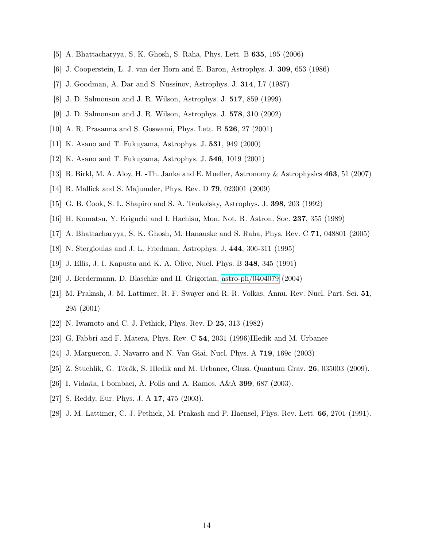- <span id="page-13-1"></span><span id="page-13-0"></span>[5] A. Bhattacharyya, S. K. Ghosh, S. Raha, Phys. Lett. B 635, 195 (2006)
- <span id="page-13-2"></span>[6] J. Cooperstein, L. J. van der Horn and E. Baron, Astrophys. J. 309, 653 (1986)
- <span id="page-13-3"></span>[7] J. Goodman, A. Dar and S. Nussinov, Astrophys. J. 314, L7 (1987)
- <span id="page-13-4"></span>[8] J. D. Salmonson and J. R. Wilson, Astrophys. J. 517, 859 (1999)
- <span id="page-13-5"></span>[9] J. D. Salmonson and J. R. Wilson, Astrophys. J. 578, 310 (2002)
- <span id="page-13-6"></span>[10] A. R. Prasanna and S. Goswami, Phys. Lett. B 526, 27 (2001)
- <span id="page-13-7"></span>[11] K. Asano and T. Fukuyama, Astrophys. J. 531, 949 (2000)
- <span id="page-13-8"></span>[12] K. Asano and T. Fukuyama, Astrophys. J. 546, 1019 (2001)
- <span id="page-13-9"></span>[13] R. Birkl, M. A. Aloy, H. -Th. Janka and E. Mueller, Astronomy & Astrophysics 463, 51 (2007)
- <span id="page-13-10"></span>[14] R. Mallick and S. Majumder, Phys. Rev. D 79, 023001 (2009)
- <span id="page-13-11"></span>[15] G. B. Cook, S. L. Shapiro and S. A. Teukolsky, Astrophys. J. 398, 203 (1992)
- [16] H. Komatsu, Y. Eriguchi and I. Hachisu, Mon. Not. R. Astron. Soc. 237, 355 (1989)
- <span id="page-13-12"></span>[17] A. Bhattacharyya, S. K. Ghosh, M. Hanauske and S. Raha, Phys. Rev. C 71, 048801 (2005)
- <span id="page-13-13"></span>[18] N. Stergioulas and J. L. Friedman, Astrophys. J. 444, 306-311 (1995)
- [19] J. Ellis, J. I. Kapusta and K. A. Olive, Nucl. Phys. B 348, 345 (1991)
- <span id="page-13-15"></span><span id="page-13-14"></span>[20] J. Berdermann, D. Blaschke and H. Grigorian, [astro-ph/0404079](http://arxiv.org/abs/astro-ph/0404079) (2004)
- [21] M. Prakash, J. M. Lattimer, R. F. Swayer and R. R. Volkas, Annu. Rev. Nucl. Part. Sci. 51, 295 (2001)
- <span id="page-13-16"></span>[22] N. Iwamoto and C. J. Pethick, Phys. Rev. D 25, 313 (1982)
- <span id="page-13-17"></span>[23] G. Fabbri and F. Matera, Phys. Rev. C 54, 2031 (1996)Hledik and M. Urbanee
- <span id="page-13-18"></span>[24] J. Margueron, J. Navarro and N. Van Giai, Nucl. Phys. A 719, 169c (2003)
- <span id="page-13-19"></span>[25] Z. Stuchlik, G. Török, S. Hledik and M. Urbanee, Class. Quantum Grav.  $26$ , 035003 (2009).
- <span id="page-13-20"></span>[26] I. Vidaña, I bombaci, A. Polls and A. Ramos, A&A 399, 687 (2003).
- <span id="page-13-21"></span>[27] S. Reddy, Eur. Phys. J. A 17, 475 (2003).
- <span id="page-13-22"></span>[28] J. M. Lattimer, C. J. Pethick, M. Prakash and P. Haensel, Phys. Rev. Lett. 66, 2701 (1991).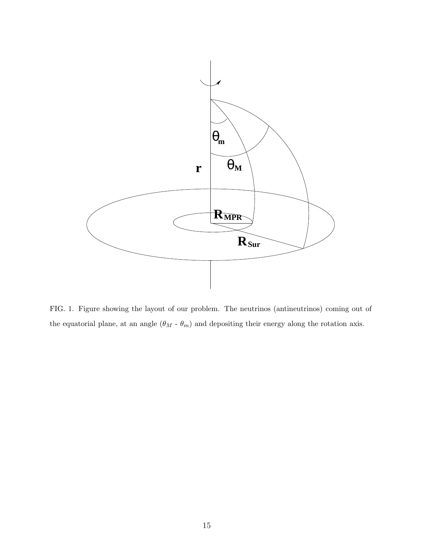

FIG. 1. Figure showing the layout of our problem. The neutrinos (antineutrinos) coming out of the equatorial plane, at an angle  $(\theta_M$  -  $\theta_m)$  and depositing their energy along the rotation axis.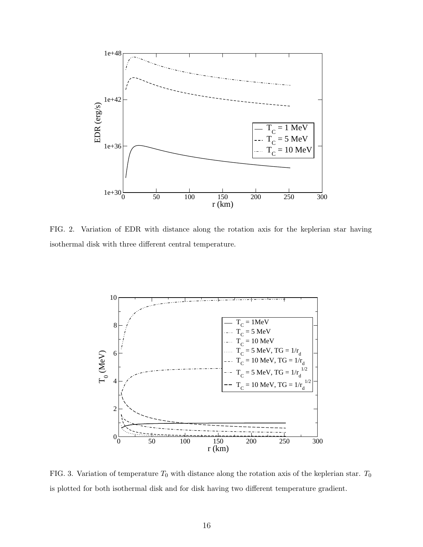

FIG. 2. Variation of EDR with distance along the rotation axis for the keplerian star having isothermal disk with three different central temperature.



FIG. 3. Variation of temperature  $T_0$  with distance along the rotation axis of the keplerian star.  $T_0$ is plotted for both isothermal disk and for disk having two different temperature gradient.